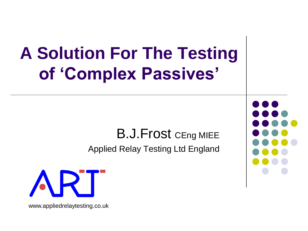### **A Solution For The Testing of 'Complex Passives'**

#### B.J. Frost CEng MIEE

Applied Relay Testing Ltd England



www.appliedrelaytesting.co.uk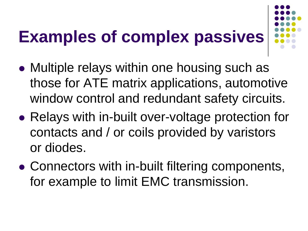# **Examples of complex passives**



- Multiple relays within one housing such as those for ATE matrix applications, automotive window control and redundant safety circuits.
- Relays with in-built over-voltage protection for contacts and / or coils provided by varistors or diodes.
- Connectors with in-built filtering components, for example to limit EMC transmission.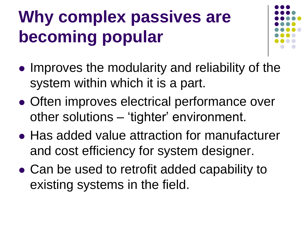# **Why complex passives are becoming popular**



- Improves the modularity and reliability of the system within which it is a part.
- Often improves electrical performance over other solutions – 'tighter' environment.
- Has added value attraction for manufacturer and cost efficiency for system designer.
- Can be used to retrofit added capability to existing systems in the field.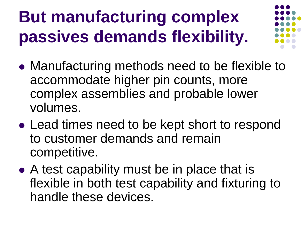# **But manufacturing complex passives demands flexibility.**



- Manufacturing methods need to be flexible to accommodate higher pin counts, more complex assemblies and probable lower volumes.
- Lead times need to be kept short to respond to customer demands and remain competitive.
- A test capability must be in place that is flexible in both test capability and fixturing to handle these devices.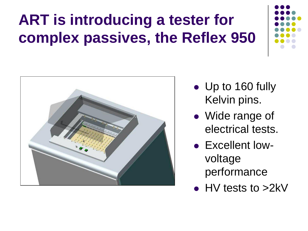#### **ART is introducing a tester for complex passives, the Reflex 950**





- Up to 160 fully Kelvin pins.
- Wide range of electrical tests.
- Excellent lowvoltage performance
- HV tests to >2kV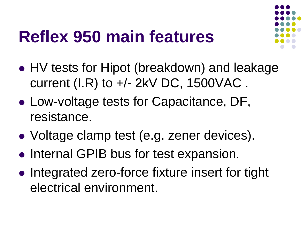#### **Reflex 950 main features**



- HV tests for Hipot (breakdown) and leakage current (I.R) to +/- 2kV DC, 1500VAC .
- Low-voltage tests for Capacitance, DF, resistance.
- Voltage clamp test (e.g. zener devices).
- Internal GPIB bus for test expansion.
- Integrated zero-force fixture insert for tight electrical environment.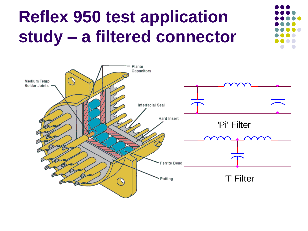### **Reflex 950 test application study – a filtered connector**

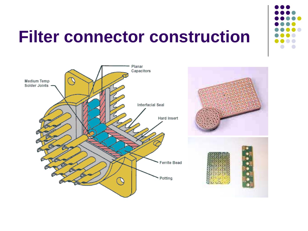#### **Filter connector construction**



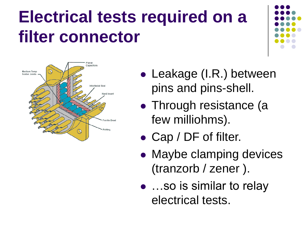### **Electrical tests required on a filter connector**





- Leakage (I.R.) between pins and pins-shell.
- Through resistance (a few milliohms).
- Cap / DF of filter.
- Maybe clamping devices (tranzorb / zener ).
- ...so is similar to relay electrical tests.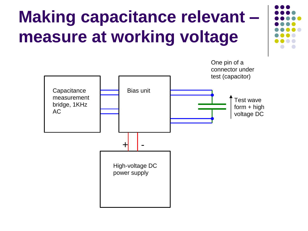# **Making capacitance relevant – measure at working voltage**



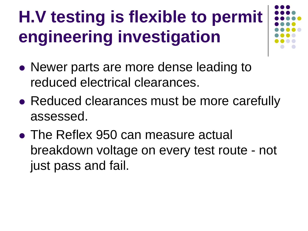# **H.V testing is flexible to permit engineering investigation**

- Newer parts are more dense leading to reduced electrical clearances.
- Reduced clearances must be more carefully assessed.
- The Reflex 950 can measure actual breakdown voltage on every test route - not just pass and fail.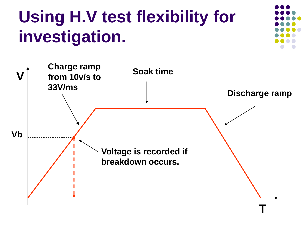# **Using H.V test flexibility for investigation.**



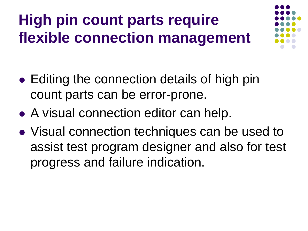#### **High pin count parts require flexible connection management**



- Editing the connection details of high pin count parts can be error-prone.
- A visual connection editor can help.
- Visual connection techniques can be used to assist test program designer and also for test progress and failure indication.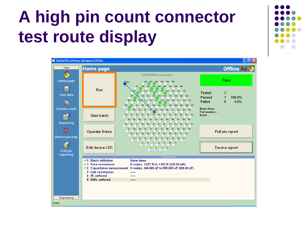#### **A high pin count connector test route display**



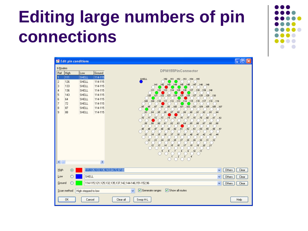#### **Editing large numbers of pin connections**



|                                                                                                                          |                                                                 | Edit pin conditions                                                                                                            |                                                                                                                   |                                                                                                                                                                                                                                                                                                                                                                                                                                                                                                                                                                                                                                                                                                                                                                                                                                                                                                                                                                                                                                                                                                                                                                                                                                                                                                                                                                                 | $\blacksquare$ $\blacksquare$ |
|--------------------------------------------------------------------------------------------------------------------------|-----------------------------------------------------------------|--------------------------------------------------------------------------------------------------------------------------------|-------------------------------------------------------------------------------------------------------------------|---------------------------------------------------------------------------------------------------------------------------------------------------------------------------------------------------------------------------------------------------------------------------------------------------------------------------------------------------------------------------------------------------------------------------------------------------------------------------------------------------------------------------------------------------------------------------------------------------------------------------------------------------------------------------------------------------------------------------------------------------------------------------------------------------------------------------------------------------------------------------------------------------------------------------------------------------------------------------------------------------------------------------------------------------------------------------------------------------------------------------------------------------------------------------------------------------------------------------------------------------------------------------------------------------------------------------------------------------------------------------------|-------------------------------|
| 9 Routes<br>Ref<br>2<br>3<br>4<br>5<br>6<br>$\overline{7}$<br>8<br>9<br>$\leq$                                           | High<br>111<br>126<br>133<br>136<br>143<br>64<br>72<br>87<br>88 | Low<br><b>SHELL</b><br><b>SHELL</b><br>SHELL<br><b>SHELL</b><br>SHELL<br><b>SHELL</b><br><b>SHELL</b><br><b>SHELL</b><br>SHELL | Ground<br>114-115<br>114-115<br>114-115<br>114-115<br>114-115<br>114-115<br>114-115<br>114-115<br>114-115<br>$\,$ | DPM155PinConnector<br>SHELL<br>150 151 152 153 154 155<br>$141 - 142 - 143 - 144 - 145 - 146 - 147$<br>$-148$<br>$149$<br>131<br>$-132 - 133$<br>$-134$<br>$-135 - 136$<br>$-137$<br>$-138$<br>$-139$<br>$-140$<br>$121 - 122 - 123 - 124 - 125$<br>120<br>126<br>$-127 - 128$<br>129<br>130<br>$-110 - 111 - 112 - 113 - 114 - 115 - 116 - 117$<br>108<br>109<br>$-118$<br>$-119$<br>95<br>83 88<br>$\overline{O}^{97}$<br>$\overline{O}^{99}$<br>98<br>100<br>$-101 - 102 - 103 - 104$<br>$106 - 107$<br>$-105$<br>$\overline{\bigcirc}^{84}$<br>$\overline{\frac{87}{2}}$<br>$\frac{88}{1}$<br>$\circ$ <sup>89</sup><br>$\overline{C}^{90}$<br>$\overline{O}^{92}$<br>$\overline{\bigcirc}^{85}$<br>86<br>$\sqrt{91}$<br>$\overline{93}$<br>$\overline{\bigcirc}$ <sup>94</sup><br><b>Discrete Manuscript Candidate</b><br>$\overline{C}$ <sup>73</sup><br>$\overline{C}^7$<br>$\overline{76}$<br>$-70$<br>$\overline{.71}$<br>$\overline{\mathbf{z}^2}$<br>$\int_{0}^{75}$<br>$_{.81}$<br>$_{.82}$<br>$\bigcirc$ <sub>58</sub><br><b>CONSTRUCTER</b><br>$-22$<br>$\sqrt[6]{1}$<br>$\overline{\bigcirc}$ <sup>62</sup><br><b>CONSTRUCTION</b><br>$\circ$ <sup>45</sup><br>- 1<br><b>23</b><br><b>13</b><br>$25$ <sup>50</sup><br><b>PRODUCED BOOM</b><br><b>15</b><br>57<br>$\int_{33}$<br>$\overline{12}$<br>$\frac{6}{5}$<br>$\epsilon$<br>$\frac{1}{2}$<br>$\overline{1}$ |                               |
| High                                                                                                                     | $\circ$                                                         |                                                                                                                                |                                                                                                                   | 111,126,133,136,143,64,72,87-88<br>$\checkmark$<br>Others                                                                                                                                                                                                                                                                                                                                                                                                                                                                                                                                                                                                                                                                                                                                                                                                                                                                                                                                                                                                                                                                                                                                                                                                                                                                                                                       | Clear                         |
| Low                                                                                                                      |                                                                 | <b>SHELL</b>                                                                                                                   |                                                                                                                   | $\checkmark$<br>Others                                                                                                                                                                                                                                                                                                                                                                                                                                                                                                                                                                                                                                                                                                                                                                                                                                                                                                                                                                                                                                                                                                                                                                                                                                                                                                                                                          | Clear                         |
| Ground<br>114-115,121,125,132,135,137,142,144-146,151-152,96<br>$\checkmark$<br>Others<br>Clear                          |                                                                 |                                                                                                                                |                                                                                                                   |                                                                                                                                                                                                                                                                                                                                                                                                                                                                                                                                                                                                                                                                                                                                                                                                                                                                                                                                                                                                                                                                                                                                                                                                                                                                                                                                                                                 |                               |
| $\triangledown$ Generate ranges<br>$\triangledown$ Show all routes<br>Scan method<br>$\checkmark$<br>High stepped to low |                                                                 |                                                                                                                                |                                                                                                                   |                                                                                                                                                                                                                                                                                                                                                                                                                                                                                                                                                                                                                                                                                                                                                                                                                                                                                                                                                                                                                                                                                                                                                                                                                                                                                                                                                                                 |                               |
|                                                                                                                          | 0K                                                              | Cancel                                                                                                                         |                                                                                                                   | Swop H-L<br>Clear all                                                                                                                                                                                                                                                                                                                                                                                                                                                                                                                                                                                                                                                                                                                                                                                                                                                                                                                                                                                                                                                                                                                                                                                                                                                                                                                                                           | Help                          |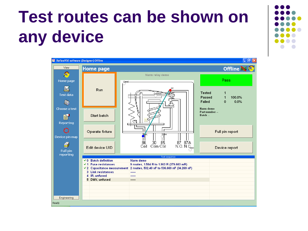### **Test routes can be shown on any device**



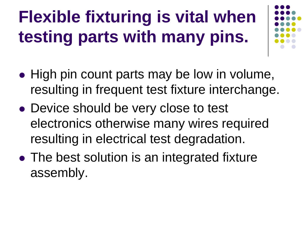# **Flexible fixturing is vital when testing parts with many pins.**

- High pin count parts may be low in volume, resulting in frequent test fixture interchange.
- Device should be very close to test electronics otherwise many wires required resulting in electrical test degradation.
- The best solution is an integrated fixture assembly.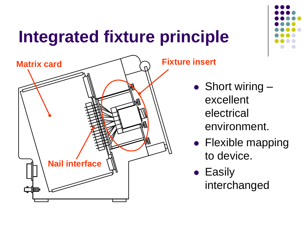# **Integrated fixture principle**



- Short wiring excellent electrical environment.
- Flexible mapping to device.
- Easily interchanged

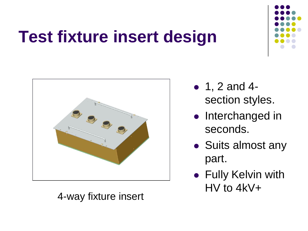### **Test fixture insert design**



4-way fixture insert



- Interchanged in seconds.
- Suits almost any part.
- **Fully Kelvin with** HV to 4kV+

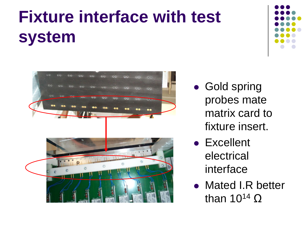# **Fixture interface with test system**





- Gold spring probes mate matrix card to fixture insert.
- Excellent electrical interface
- Mated I.R better than  $10^{14}$  Ω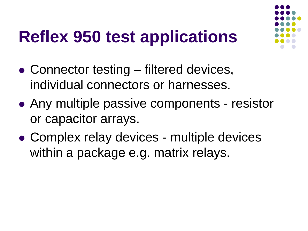### **Reflex 950 test applications**

- Connector testing filtered devices, individual connectors or harnesses.
- Any multiple passive components resistor or capacitor arrays.
- Complex relay devices multiple devices within a package e.g. matrix relays.